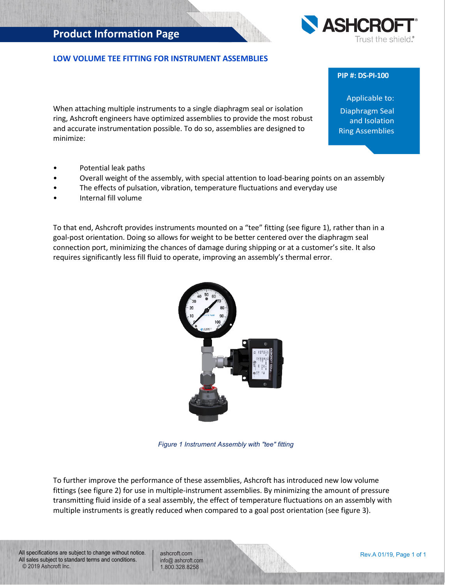## **Product Information Page**



When attaching multiple instruments to a single diaphragm seal or isolation ring, Ashcroft engineers have optimized assemblies to provide the most robust and accurate instrumentation possible. To do so, assemblies are designed to minimize:

- Potential leak paths
- Overall weight of the assembly, with special attention to load-bearing points on an assembly
- The effects of pulsation, vibration, temperature fluctuations and everyday use
- Internal fill volume

To that end, Ashcroft provides instruments mounted on a "tee" fitting (see figure 1), rather than in a goal-post orientation. Doing so allows for weight to be better centered over the diaphragm seal connection port, minimizing the chances of damage during shipping or at a customer's site. It also requires significantly less fill fluid to operate, improving an assembly's thermal error.



To further improve the performance of these assemblies, Ashcroft has introduced new low volume fittings (see figure 2) for use in multiple-instrument assemblies. By minimizing the amount of pressure transmitting fluid inside of a seal assembly, the effect of temperature fluctuations on an assembly with multiple instruments is greatly reduced when compared to a goal post orientation (see figure 3).

All specifications are subject to change without notice. All sales subject to standard terms and conditions. © 2019 Ashcroft Inc.

ashcroft.com [info@ ashcroft.com](mailto:info@ashcroft.com) 1.800.328.8258







## **PIP #: DS-PI-100**

Applicable to: Diaphragm Seal and Isolation Ring Assemblies